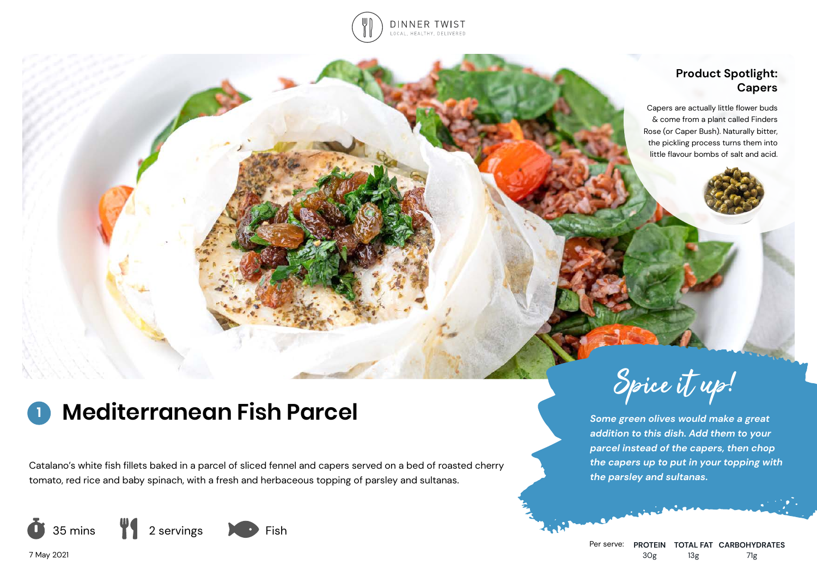

# **Product Spotlight: Capers**

Capers are actually little flower buds & come from a plant called Finders Rose (or Caper Bush). Naturally bitter, the pickling process turns them into little flavour bombs of salt and acid.

# **Mediterranean Fish Parcel**

Catalano's white fish fillets baked in a parcel of sliced fennel and capers served on a bed of roasted cherry tomato, red rice and baby spinach, with a fresh and herbaceous topping of parsley and sultanas.



Spice it up!

*Some green olives would make a great addition to this dish. Add them to your parcel instead of the capers, then chop the capers up to put in your topping with the parsley and sultanas.*

Per serve: **PROTEIN TOTAL FAT CARBOHYDRATES** 30g 13g 71g

7 May 2021

**1**